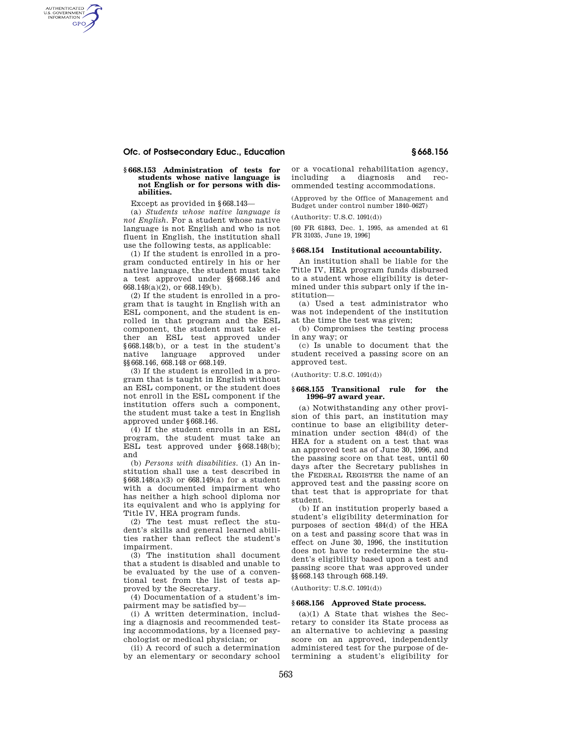# **Ofc. of Postsecondary Educ., Education § 668.156**

## **§ 668.153 Administration of tests for students whose native language is not English or for persons with disabilities.**

Except as provided in §668.143—

AUTHENTICATED<br>U.S. GOVERNMENT<br>INFORMATION **GPO** 

> (a) *Students whose native language is not English.* For a student whose native language is not English and who is not fluent in English, the institution shall use the following tests, as applicable:

> (1) If the student is enrolled in a program conducted entirely in his or her native language, the student must take a test approved under §§668.146 and 668.148(a)(2), or 668.149(b).

> (2) If the student is enrolled in a program that is taught in English with an ESL component, and the student is enrolled in that program and the ESL component, the student must take either an ESL test approved under §668.148(b), or a test in the student's native language approved under §§668.146, 668.148 or 668.149.

> (3) If the student is enrolled in a program that is taught in English without an ESL component, or the student does not enroll in the ESL component if the institution offers such a component, the student must take a test in English approved under §668.146.

> (4) If the student enrolls in an ESL program, the student must take an ESL test approved under §668.148(b); and

> (b) *Persons with disabilities.* (1) An institution shall use a test described in §668.148(a)(3) or 668.149(a) for a student with a documented impairment who has neither a high school diploma nor its equivalent and who is applying for Title IV, HEA program funds.

> (2) The test must reflect the student's skills and general learned abilities rather than reflect the student's impairment.

> (3) The institution shall document that a student is disabled and unable to be evaluated by the use of a conventional test from the list of tests approved by the Secretary.

(4) Documentation of a student's impairment may be satisfied by—

(i) A written determination, including a diagnosis and recommended testing accommodations, by a licensed psychologist or medical physician; or

(ii) A record of such a determination by an elementary or secondary school

or a vocational rehabilitation agency, including a diagnosis and recommended testing accommodations.

(Approved by the Office of Management and Budget under control number 1840–0627)

(Authority: U.S.C. 1091(d))

[60 FR 61843, Dec. 1, 1995, as amended at 61 FR 31035, June 19, 1996]

## **§ 668.154 Institutional accountability.**

An institution shall be liable for the Title IV, HEA program funds disbursed to a student whose eligibility is determined under this subpart only if the institution—

(a) Used a test administrator who was not independent of the institution at the time the test was given;

(b) Compromises the testing process in any way; or

(c) Is unable to document that the student received a passing score on an approved test.

(Authority: U.S.C. 1091(d))

## **§ 668.155 Transitional rule for the 1996–97 award year.**

(a) Notwithstanding any other provision of this part, an institution may continue to base an eligibility determination under section 484(d) of the HEA for a student on a test that was an approved test as of June 30, 1996, and the passing score on that test, until 60 days after the Secretary publishes in the FEDERAL REGISTER the name of an approved test and the passing score on that test that is appropriate for that student.

(b) If an institution properly based a student's eligibility determination for purposes of section 484(d) of the HEA on a test and passing score that was in effect on June 30, 1996, the institution does not have to redetermine the student's eligibility based upon a test and passing score that was approved under §§668.143 through 668.149.

(Authority: U.S.C. 1091(d))

#### **§ 668.156 Approved State process.**

(a)(1) A State that wishes the Secretary to consider its State process as an alternative to achieving a passing score on an approved, independently administered test for the purpose of determining a student's eligibility for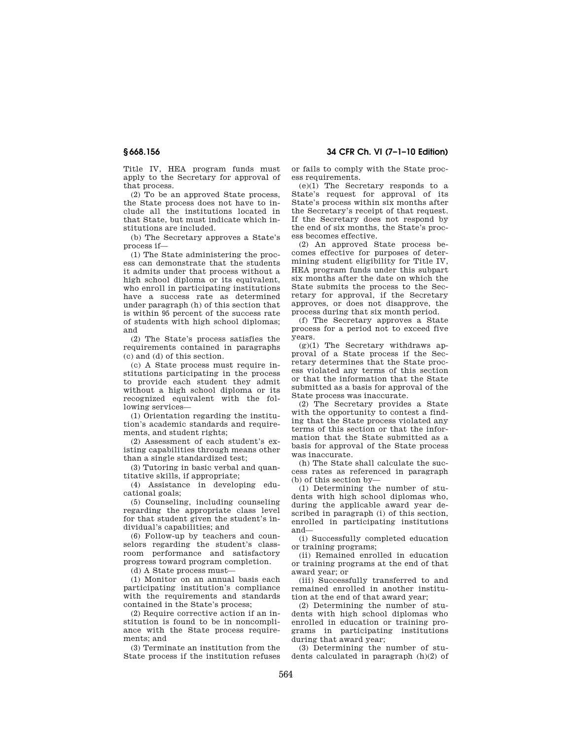Title IV, HEA program funds must apply to the Secretary for approval of that process.

(2) To be an approved State process, the State process does not have to include all the institutions located in that State, but must indicate which institutions are included.

(b) The Secretary approves a State's process if—

(1) The State administering the process can demonstrate that the students it admits under that process without a high school diploma or its equivalent, who enroll in participating institutions have a success rate as determined under paragraph (h) of this section that is within 95 percent of the success rate of students with high school diplomas; and

(2) The State's process satisfies the requirements contained in paragraphs (c) and (d) of this section.

(c) A State process must require institutions participating in the process to provide each student they admit without a high school diploma or its recognized equivalent with the following services—

(1) Orientation regarding the institution's academic standards and requirements, and student rights;

(2) Assessment of each student's existing capabilities through means other than a single standardized test;

(3) Tutoring in basic verbal and quantitative skills, if appropriate;

(4) Assistance in developing educational goals;

(5) Counseling, including counseling regarding the appropriate class level for that student given the student's individual's capabilities; and

(6) Follow-up by teachers and counselors regarding the student's classroom performance and satisfactory progress toward program completion.

(d) A State process must—

(1) Monitor on an annual basis each participating institution's compliance with the requirements and standards contained in the State's process;

(2) Require corrective action if an institution is found to be in noncompliance with the State process requirements; and

(3) Terminate an institution from the State process if the institution refuses

**§ 668.156 34 CFR Ch. VI (7–1–10 Edition)** 

or fails to comply with the State process requirements.

 $(e)(1)$  The Secretary responds to a State's request for approval of its State's process within six months after the Secretary's receipt of that request. If the Secretary does not respond by the end of six months, the State's process becomes effective.

(2) An approved State process becomes effective for purposes of determining student eligibility for Title IV, HEA program funds under this subpart six months after the date on which the State submits the process to the Secretary for approval, if the Secretary approves, or does not disapprove, the process during that six month period.

(f) The Secretary approves a State process for a period not to exceed five years.

 $(g)(1)$  The Secretary withdraws approval of a State process if the Secretary determines that the State process violated any terms of this section or that the information that the State submitted as a basis for approval of the State process was inaccurate.

(2) The Secretary provides a State with the opportunity to contest a finding that the State process violated any terms of this section or that the information that the State submitted as a basis for approval of the State process was inaccurate.

(h) The State shall calculate the success rates as referenced in paragraph (b) of this section by—

(1) Determining the number of students with high school diplomas who, during the applicable award year described in paragraph (i) of this section, enrolled in participating institutions and—

(i) Successfully completed education or training programs;

(ii) Remained enrolled in education or training programs at the end of that award year; or

(iii) Successfully transferred to and remained enrolled in another institution at the end of that award year;

(2) Determining the number of students with high school diplomas who enrolled in education or training programs in participating institutions during that award year;

(3) Determining the number of students calculated in paragraph (h)(2) of